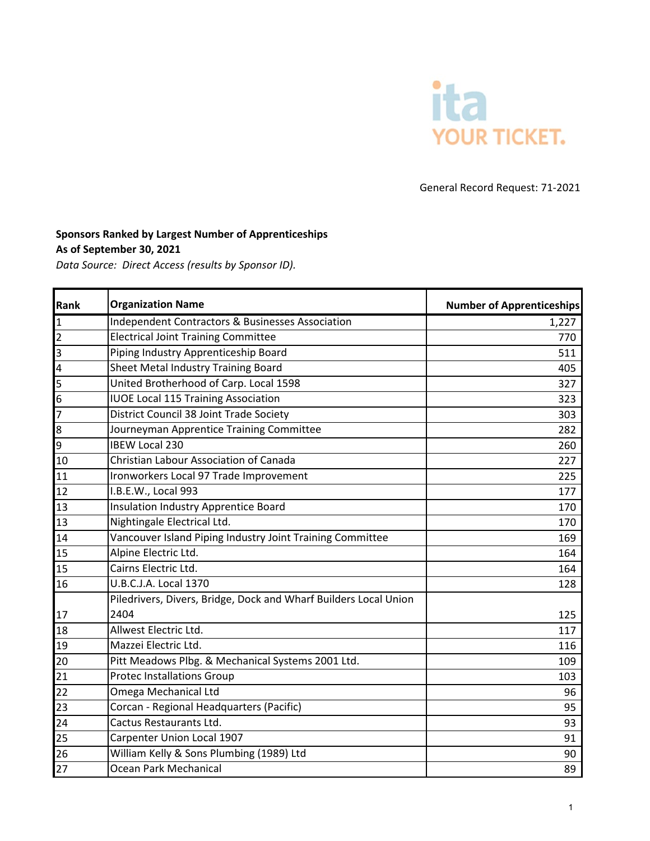

General Record Request: 71-2021

## **Sponsors Ranked by Largest Number of Apprenticeships**

**As of September 30, 2021**

*Data Source: Direct Access (results by Sponsor ID).*

| Rank           | <b>Organization Name</b>                                         | <b>Number of Apprenticeships</b> |
|----------------|------------------------------------------------------------------|----------------------------------|
| 1              | Independent Contractors & Businesses Association                 | 1,227                            |
| $\overline{2}$ | <b>Electrical Joint Training Committee</b>                       | 770                              |
| 3              | Piping Industry Apprenticeship Board                             | 511                              |
| 4              | Sheet Metal Industry Training Board                              | 405                              |
| 15             | United Brotherhood of Carp. Local 1598                           | 327                              |
| 6              | <b>IUOE Local 115 Training Association</b>                       | 323                              |
| $\overline{7}$ | District Council 38 Joint Trade Society                          | 303                              |
| 8              | Journeyman Apprentice Training Committee                         | 282                              |
| 9              | <b>IBEW Local 230</b>                                            | 260                              |
| 10             | <b>Christian Labour Association of Canada</b>                    | 227                              |
| 11             | Ironworkers Local 97 Trade Improvement                           | 225                              |
| 12             | I.B.E.W., Local 993                                              | 177                              |
| 13             | Insulation Industry Apprentice Board                             | 170                              |
| 13             | Nightingale Electrical Ltd.                                      | 170                              |
| 14             | Vancouver Island Piping Industry Joint Training Committee        | 169                              |
| 15             | Alpine Electric Ltd.                                             | 164                              |
| 15             | Cairns Electric Ltd.                                             | 164                              |
| 16             | U.B.C.J.A. Local 1370                                            | 128                              |
|                | Piledrivers, Divers, Bridge, Dock and Wharf Builders Local Union |                                  |
| 17             | 2404                                                             | 125                              |
| 18             | Allwest Electric Ltd.                                            | 117                              |
| 19             | Mazzei Electric Ltd.                                             | 116                              |
| 20             | Pitt Meadows Plbg. & Mechanical Systems 2001 Ltd.                | 109                              |
| 21             | <b>Protec Installations Group</b>                                | 103                              |
| 22             | Omega Mechanical Ltd                                             | 96                               |
| 23             | Corcan - Regional Headquarters (Pacific)                         | 95                               |
| 24             | Cactus Restaurants Ltd.                                          | 93                               |
| 25             | Carpenter Union Local 1907                                       | 91                               |
| 26             | William Kelly & Sons Plumbing (1989) Ltd                         | 90                               |
| 27             | Ocean Park Mechanical                                            | 89                               |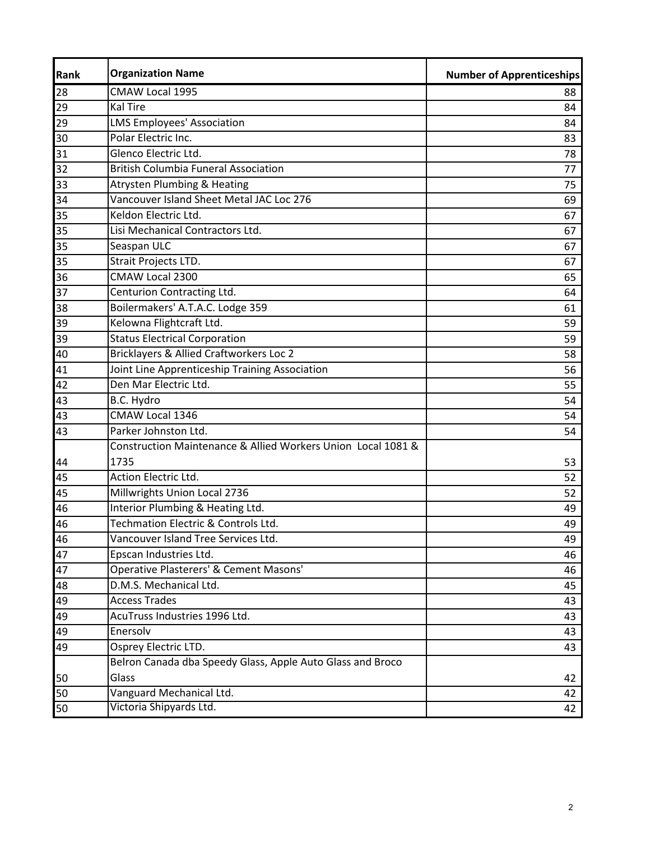| <b>Rank</b> | <b>Organization Name</b>                                     | <b>Number of Apprenticeships</b> |
|-------------|--------------------------------------------------------------|----------------------------------|
| 28          | CMAW Local 1995                                              | 88                               |
| 29          | <b>Kal Tire</b>                                              | 84                               |
| 29          | <b>LMS Employees' Association</b>                            | 84                               |
| 30          | Polar Electric Inc.                                          | 83                               |
| 31          | Glenco Electric Ltd.                                         | 78                               |
| 32          | <b>British Columbia Funeral Association</b>                  | 77                               |
| 33          | <b>Atrysten Plumbing &amp; Heating</b>                       | 75                               |
| 34          | Vancouver Island Sheet Metal JAC Loc 276                     | 69                               |
| 35          | Keldon Electric Ltd.                                         | 67                               |
| 35          | Lisi Mechanical Contractors Ltd.                             | 67                               |
| 35          | Seaspan ULC                                                  | 67                               |
| 35          | Strait Projects LTD.                                         | 67                               |
| 36          | CMAW Local 2300                                              | 65                               |
| 37          | Centurion Contracting Ltd.                                   | 64                               |
| 38          | Boilermakers' A.T.A.C. Lodge 359                             | 61                               |
| 39          | Kelowna Flightcraft Ltd.                                     | 59                               |
| 39          | <b>Status Electrical Corporation</b>                         | 59                               |
| 40          | Bricklayers & Allied Craftworkers Loc 2                      | 58                               |
| 41          | Joint Line Apprenticeship Training Association               | 56                               |
| 42          | Den Mar Electric Ltd.                                        | 55                               |
| 43          | B.C. Hydro                                                   | 54                               |
| 43          | CMAW Local 1346                                              | 54                               |
| 43          | Parker Johnston Ltd.                                         | 54                               |
|             | Construction Maintenance & Allied Workers Union Local 1081 & |                                  |
| 44          | 1735                                                         | 53                               |
| 45          | Action Electric Ltd.                                         | 52                               |
| 45          | Millwrights Union Local 2736                                 | 52                               |
| 46          | Interior Plumbing & Heating Ltd.                             | 49                               |
| 46          | Techmation Electric & Controls Ltd.                          | 49                               |
| 46          | Vancouver Island Tree Services Ltd.                          | 49                               |
| 47          | Epscan Industries Ltd.                                       | 46                               |
| 47          | Operative Plasterers' & Cement Masons'                       | 46                               |
| 48          | D.M.S. Mechanical Ltd.                                       | 45                               |
| 49          | <b>Access Trades</b>                                         | 43                               |
| 49          | AcuTruss Industries 1996 Ltd.                                | 43                               |
| 49          | Enersolv                                                     | 43                               |
| 49          | Osprey Electric LTD.                                         | 43                               |
|             | Belron Canada dba Speedy Glass, Apple Auto Glass and Broco   |                                  |
| 50          | Glass                                                        | 42                               |
| 50          | Vanguard Mechanical Ltd.                                     | 42                               |
| 50          | Victoria Shipyards Ltd.                                      | 42                               |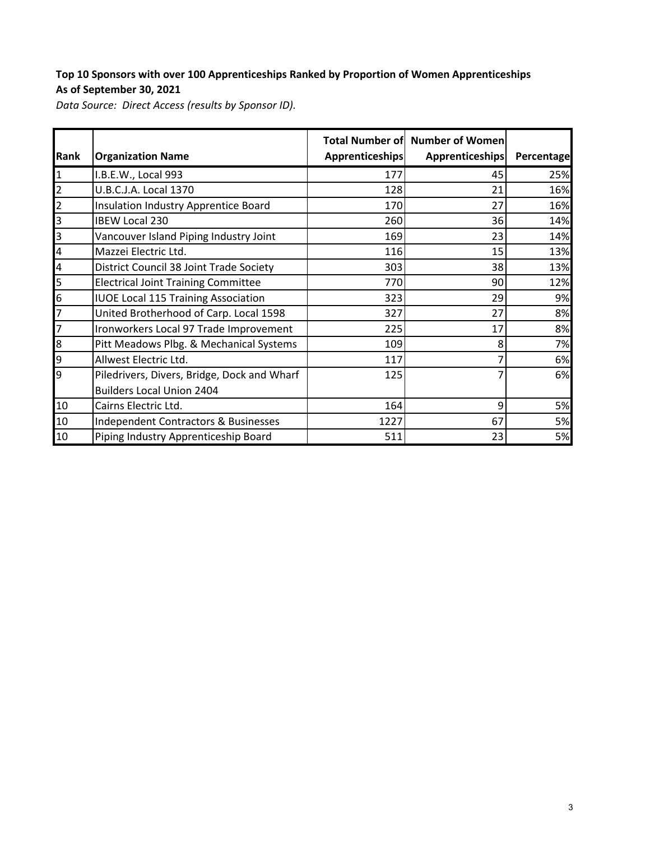## **Top 10 Sponsors with over 100 Apprenticeships Ranked by Proportion of Women Apprenticeships As of September 30, 2021**

*Data Source: Direct Access (results by Sponsor ID).*

| <b>Rank</b>             | <b>Organization Name</b>                    | Apprenticeships | <b>Total Number of Number of Women</b><br>Apprenticeships | Percentage |
|-------------------------|---------------------------------------------|-----------------|-----------------------------------------------------------|------------|
| $\mathbf{1}$            | I.B.E.W., Local 993                         | 177             | 45                                                        | 25%        |
| $\overline{2}$          | U.B.C.J.A. Local 1370                       | 128             | 21                                                        | 16%        |
| $\overline{2}$          | Insulation Industry Apprentice Board        | 170             | 27                                                        | 16%        |
| 3                       | <b>IBEW Local 230</b>                       | 260             | 36                                                        | 14%        |
| 3                       | Vancouver Island Piping Industry Joint      | 169             | 23                                                        | 14%        |
| $\overline{\mathbf{4}}$ | Mazzei Electric Ltd.                        | 116             | 15                                                        | 13%        |
| $\overline{\mathbf{4}}$ | District Council 38 Joint Trade Society     | 303             | 38                                                        | 13%        |
| 5                       | <b>Electrical Joint Training Committee</b>  | 770             | 90                                                        | 12%        |
| $6\overline{6}$         | <b>IUOE Local 115 Training Association</b>  | 323             | 29                                                        | 9%         |
| $\overline{7}$          | United Brotherhood of Carp. Local 1598      | 327             | 27                                                        | 8%         |
| 7                       | Ironworkers Local 97 Trade Improvement      | 225             | 17                                                        | 8%         |
| 8                       | Pitt Meadows Plbg. & Mechanical Systems     | 109             | 8                                                         | 7%         |
| 9                       | Allwest Electric Ltd.                       | 117             | 7                                                         | 6%         |
| 9                       | Piledrivers, Divers, Bridge, Dock and Wharf | 125             | 7                                                         | 6%         |
|                         | <b>Builders Local Union 2404</b>            |                 |                                                           |            |
| 10                      | Cairns Electric Ltd.                        | 164             | 9                                                         | 5%         |
| 10                      | Independent Contractors & Businesses        | 1227            | 67                                                        | 5%         |
| 10                      | Piping Industry Apprenticeship Board        | 511             | 23                                                        | 5%         |